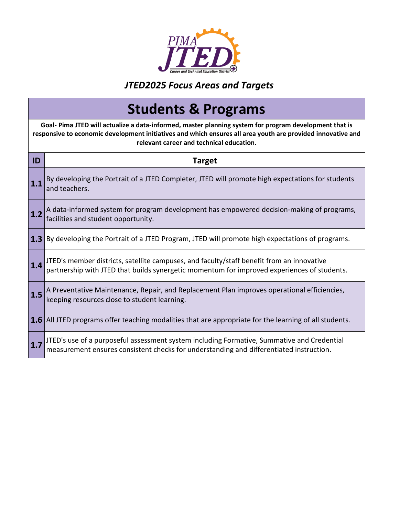

## *JTED2025 Focus Areas and Targets*

## **Students & Programs**

**Goal- Pima JTED will actualize a data-informed, master planning system for program development that is responsive to economic development initiatives and which ensures all area youth are provided innovative and relevant career and technical education.**

| ID  | <b>Target</b>                                                                                                                                                                            |
|-----|------------------------------------------------------------------------------------------------------------------------------------------------------------------------------------------|
|     | By developing the Portrait of a JTED Completer, JTED will promote high expectations for students<br>and teachers.                                                                        |
| 1.2 | A data-informed system for program development has empowered decision-making of programs,<br>facilities and student opportunity.                                                         |
|     | <b>1.3</b> By developing the Portrait of a JTED Program, JTED will promote high expectations of programs.                                                                                |
| 1.4 | JTED's member districts, satellite campuses, and faculty/staff benefit from an innovative<br>partnership with JTED that builds synergetic momentum for improved experiences of students. |
| 1.5 | A Preventative Maintenance, Repair, and Replacement Plan improves operational efficiencies,<br>keeping resources close to student learning.                                              |
|     | <b>1.6</b> All JTED programs offer teaching modalities that are appropriate for the learning of all students.                                                                            |
|     | JTED's use of a purposeful assessment system including Formative, Summative and Credential<br>measurement ensures consistent checks for understanding and differentiated instruction.    |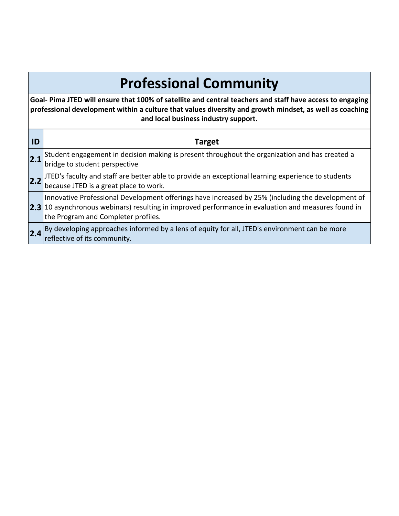## **Professional Community**

**Goal- Pima JTED will ensure that 100% of satellite and central teachers and staff have access to engaging professional development within a culture that values diversity and growth mindset, as well as coaching and local business industry support.**

| ID  | <b>Target</b>                                                                                                                                                                                                                                                  |
|-----|----------------------------------------------------------------------------------------------------------------------------------------------------------------------------------------------------------------------------------------------------------------|
| 2.1 | Student engagement in decision making is present throughout the organization and has created a<br>bridge to student perspective                                                                                                                                |
| 2.2 | JTED's faculty and staff are better able to provide an exceptional learning experience to students<br> because JTED is a great place to work.                                                                                                                  |
|     | Innovative Professional Development offerings have increased by 25% (including the development of<br>$\left 2.3\right $ 10 asynchronous webinars) resulting in improved performance in evaluation and measures found in<br>the Program and Completer profiles. |
| 2.4 | By developing approaches informed by a lens of equity for all, JTED's environment can be more<br>reflective of its community.                                                                                                                                  |